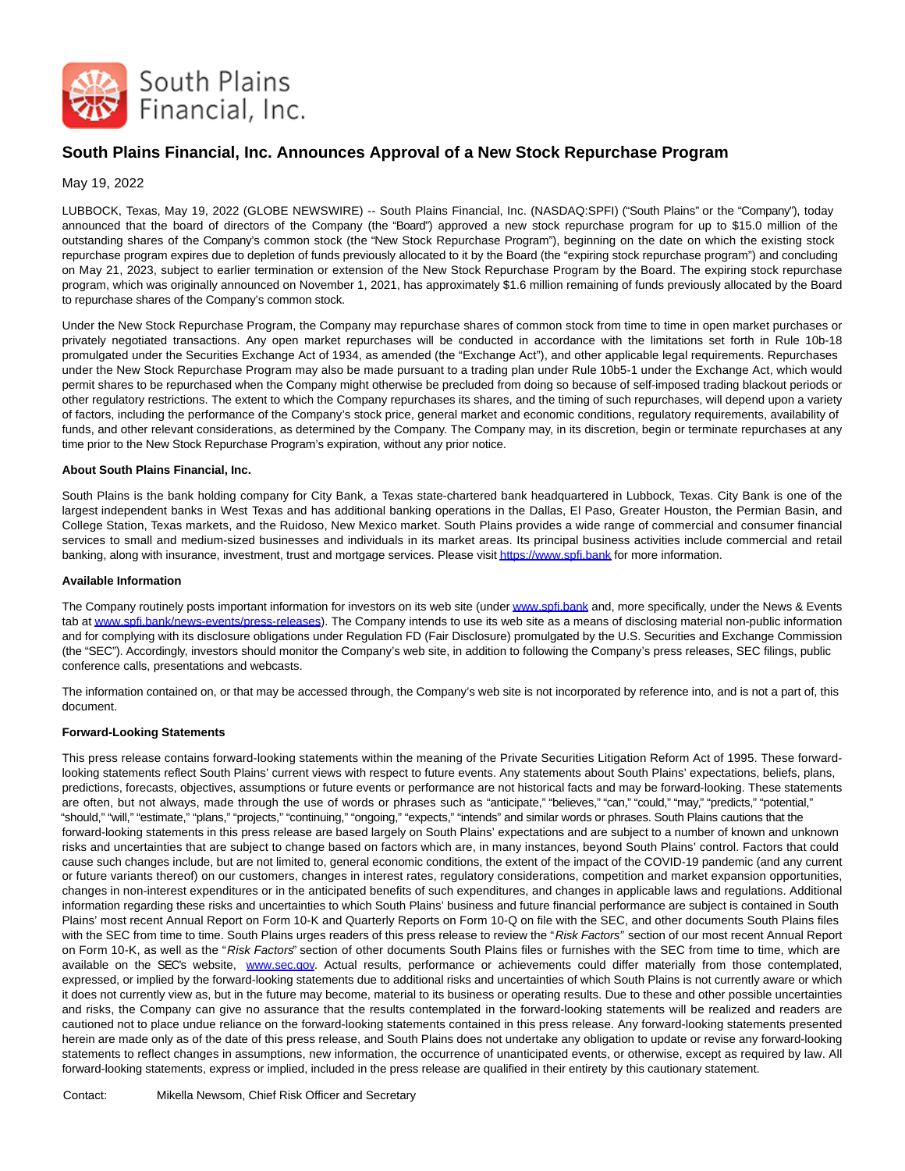

# **South Plains Financial, Inc. Announces Approval of a New Stock Repurchase Program**

# May 19, 2022

LUBBOCK, Texas, May 19, 2022 (GLOBE NEWSWIRE) -- South Plains Financial, Inc. (NASDAQ:SPFI) ("South Plains" or the "Company"), today announced that the board of directors of the Company (the "Board") approved a new stock repurchase program for up to \$15.0 million of the outstanding shares of the Company's common stock (the "New Stock Repurchase Program"), beginning on the date on which the existing stock repurchase program expires due to depletion of funds previously allocated to it by the Board (the "expiring stock repurchase program") and concluding on May 21, 2023, subject to earlier termination or extension of the New Stock Repurchase Program by the Board. The expiring stock repurchase program, which was originally announced on November 1, 2021, has approximately \$1.6 million remaining of funds previously allocated by the Board to repurchase shares of the Company's common stock.

Under the New Stock Repurchase Program, the Company may repurchase shares of common stock from time to time in open market purchases or privately negotiated transactions. Any open market repurchases will be conducted in accordance with the limitations set forth in Rule 10b-18 promulgated under the Securities Exchange Act of 1934, as amended (the "Exchange Act"), and other applicable legal requirements. Repurchases under the New Stock Repurchase Program may also be made pursuant to a trading plan under Rule 10b5-1 under the Exchange Act, which would permit shares to be repurchased when the Company might otherwise be precluded from doing so because of self-imposed trading blackout periods or other regulatory restrictions. The extent to which the Company repurchases its shares, and the timing of such repurchases, will depend upon a variety of factors, including the performance of the Company's stock price, general market and economic conditions, regulatory requirements, availability of funds, and other relevant considerations, as determined by the Company. The Company may, in its discretion, begin or terminate repurchases at any time prior to the New Stock Repurchase Program's expiration, without any prior notice.

## **About South Plains Financial, Inc.**

South Plains is the bank holding company for City Bank, a Texas state-chartered bank headquartered in Lubbock, Texas. City Bank is one of the largest independent banks in West Texas and has additional banking operations in the Dallas, El Paso, Greater Houston, the Permian Basin, and College Station, Texas markets, and the Ruidoso, New Mexico market. South Plains provides a wide range of commercial and consumer financial services to small and medium-sized businesses and individuals in its market areas. Its principal business activities include commercial and retail banking, along with insurance, investment, trust and mortgage services. Please visi[t https://www.spfi.bank f](https://www.globenewswire.com/Tracker?data=_yJK_tePH3Iz73X6P7_1l1L8V6BErFEHVZGmTcSWIWCKrP5yOVR8Is5QC0AFoJt_lolJLIOZQ4gy1_nUuLeXMg==)or more information.

### **Available Information**

The Company routinely posts important information for investors on its web site (unde[r www.spfi.bank a](https://www.globenewswire.com/Tracker?data=eQjW6UEgcuoXAvLBgS6wFy6ViZ8fFUQVodDtOWYazmeGYnACHnoM0gdY-kOx439GRpI4FMFGhf3id17p6tXReA==)nd, more specifically, under the News & Events tab a[t www.spfi.bank/news-events/press-releases\).](https://www.globenewswire.com/Tracker?data=eQjW6UEgcuoXAvLBgS6wF5rS-YooNNEtX7xbCBMbnTkzzdsFHLBhIPWXuhY6C3Sfjvtbl0c1KFK-ToLJ_iCIcEQ1EW4DSitdBf_vqOmBlZGjxEp4aIqG_U7gPCAunGn04yHdWZGRFBQy-HbWO5Gshg==) The Company intends to use its web site as a means of disclosing material non-public information and for complying with its disclosure obligations under Regulation FD (Fair Disclosure) promulgated by the U.S. Securities and Exchange Commission (the "SEC"). Accordingly, investors should monitor the Company's web site, in addition to following the Company's press releases, SEC filings, public conference calls, presentations and webcasts.

The information contained on, or that may be accessed through, the Company's web site is not incorporated by reference into, and is not a part of, this document.

### **Forward-Looking Statements**

This press release contains forward-looking statements within the meaning of the Private Securities Litigation Reform Act of 1995. These forwardlooking statements reflect South Plains' current views with respect to future events. Any statements about South Plains' expectations, beliefs, plans, predictions, forecasts, objectives, assumptions or future events or performance are not historical facts and may be forward-looking. These statements are often, but not always, made through the use of words or phrases such as "anticipate," "believes," "can," "could," "may," "predicts," "potential," "should," "will," "estimate," "plans," "projects," "continuing," "ongoing," "expects," "intends" and similar words or phrases. South Plains cautions that the forward-looking statements in this press release are based largely on South Plains' expectations and are subject to a number of known and unknown risks and uncertainties that are subject to change based on factors which are, in many instances, beyond South Plains' control. Factors that could cause such changes include, but are not limited to, general economic conditions, the extent of the impact of the COVID-19 pandemic (and any current or future variants thereof) on our customers, changes in interest rates, regulatory considerations, competition and market expansion opportunities, changes in non-interest expenditures or in the anticipated benefits of such expenditures, and changes in applicable laws and regulations. Additional information regarding these risks and uncertainties to which South Plains' business and future financial performance are subject is contained in South Plains' most recent Annual Report on Form 10-K and Quarterly Reports on Form 10-Q on file with the SEC, and other documents South Plains files with the SEC from time to time. South Plains urges readers of this press release to review the "Risk Factors" section of our most recent Annual Report on Form 10-K, as well as the "Risk Factors" section of other documents South Plains files or furnishes with the SEC from time to time, which are available on the SEC's website, [www.sec.gov.](https://www.globenewswire.com/Tracker?data=naK604C8tVZFs9lv_R6i8NVYHs-PBSUMnWL1pWFiUgLWK6FvENZBQCeQ2mxZOHDoM7xc5alasY_zfUZLsI2tIw==) Actual results, performance or achievements could differ materially from those contemplated, expressed, or implied by the forward-looking statements due to additional risks and uncertainties of which South Plains is not currently aware or which it does not currently view as, but in the future may become, material to its business or operating results. Due to these and other possible uncertainties and risks, the Company can give no assurance that the results contemplated in the forward-looking statements will be realized and readers are cautioned not to place undue reliance on the forward-looking statements contained in this press release. Any forward-looking statements presented herein are made only as of the date of this press release, and South Plains does not undertake any obligation to update or revise any forward-looking statements to reflect changes in assumptions, new information, the occurrence of unanticipated events, or otherwise, except as required by law. All forward-looking statements, express or implied, included in the press release are qualified in their entirety by this cautionary statement.